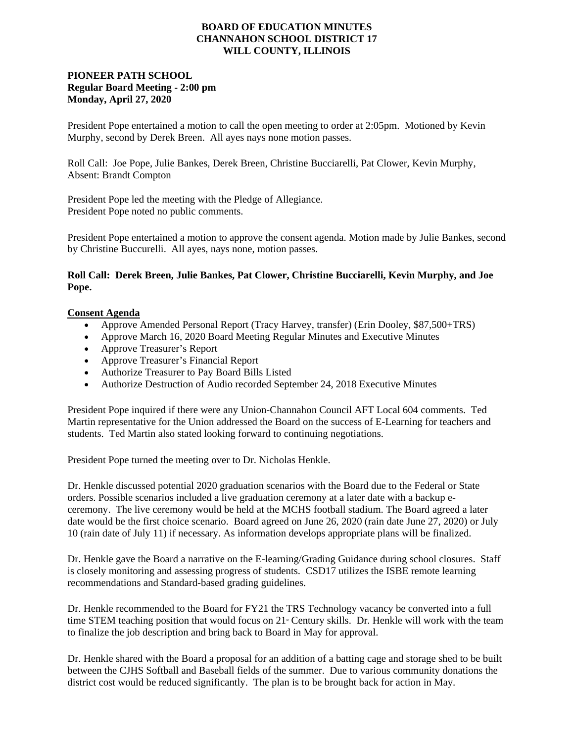## **BOARD OF EDUCATION MINUTES CHANNAHON SCHOOL DISTRICT 17 WILL COUNTY, ILLINOIS**

## **PIONEER PATH SCHOOL Regular Board Meeting - 2:00 pm Monday, April 27, 2020**

President Pope entertained a motion to call the open meeting to order at 2:05pm. Motioned by Kevin Murphy, second by Derek Breen. All ayes nays none motion passes.

Roll Call: Joe Pope, Julie Bankes, Derek Breen, Christine Bucciarelli, Pat Clower, Kevin Murphy, Absent: Brandt Compton

President Pope led the meeting with the Pledge of Allegiance. President Pope noted no public comments.

President Pope entertained a motion to approve the consent agenda. Motion made by Julie Bankes, second by Christine Buccurelli. All ayes, nays none, motion passes.

## **Roll Call: Derek Breen, Julie Bankes, Pat Clower, Christine Bucciarelli, Kevin Murphy, and Joe Pope.**

## **Consent Agenda**

- Approve Amended Personal Report (Tracy Harvey, transfer) (Erin Dooley, \$87,500+TRS)
- Approve March 16, 2020 Board Meeting Regular Minutes and Executive Minutes
- Approve Treasurer's Report
- Approve Treasurer's Financial Report
- Authorize Treasurer to Pay Board Bills Listed
- Authorize Destruction of Audio recorded September 24, 2018 Executive Minutes

President Pope inquired if there were any Union-Channahon Council AFT Local 604 comments. Ted Martin representative for the Union addressed the Board on the success of E-Learning for teachers and students. Ted Martin also stated looking forward to continuing negotiations.

President Pope turned the meeting over to Dr. Nicholas Henkle.

Dr. Henkle discussed potential 2020 graduation scenarios with the Board due to the Federal or State orders. Possible scenarios included a live graduation ceremony at a later date with a backup eceremony. The live ceremony would be held at the MCHS football stadium. The Board agreed a later date would be the first choice scenario. Board agreed on June 26, 2020 (rain date June 27, 2020) or July 10 (rain date of July 11) if necessary. As information develops appropriate plans will be finalized.

Dr. Henkle gave the Board a narrative on the E-learning/Grading Guidance during school closures. Staff is closely monitoring and assessing progress of students. CSD17 utilizes the ISBE remote learning recommendations and Standard-based grading guidelines.

Dr. Henkle recommended to the Board for FY21 the TRS Technology vacancy be converted into a full time STEM teaching position that would focus on  $21<sup>*</sup>$  Century skills. Dr. Henkle will work with the team to finalize the job description and bring back to Board in May for approval.

Dr. Henkle shared with the Board a proposal for an addition of a batting cage and storage shed to be built between the CJHS Softball and Baseball fields of the summer. Due to various community donations the district cost would be reduced significantly. The plan is to be brought back for action in May.